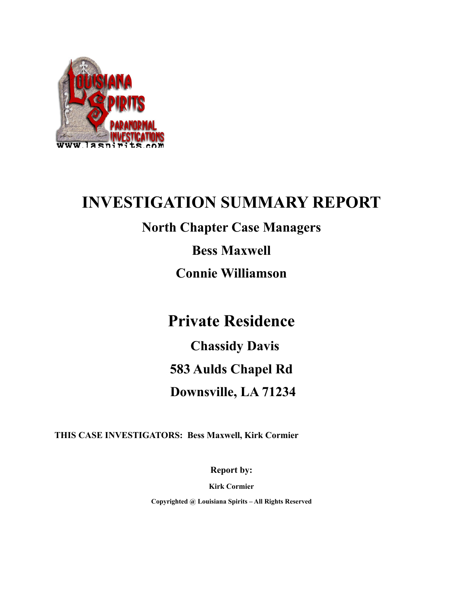

# **INVESTIGATION SUMMARY REPORT**

## **North Chapter Case Managers**

**Bess Maxwell**

**Connie Williamson**

## **Private Residence**

 **Chassidy Davis 583 Aulds Chapel Rd Downsville, LA 71234**

**THIS CASE INVESTIGATORS: Bess Maxwell, Kirk Cormier**

**Report by:**

**Kirk Cormier**

**Copyrighted @ Louisiana Spirits – All Rights Reserved**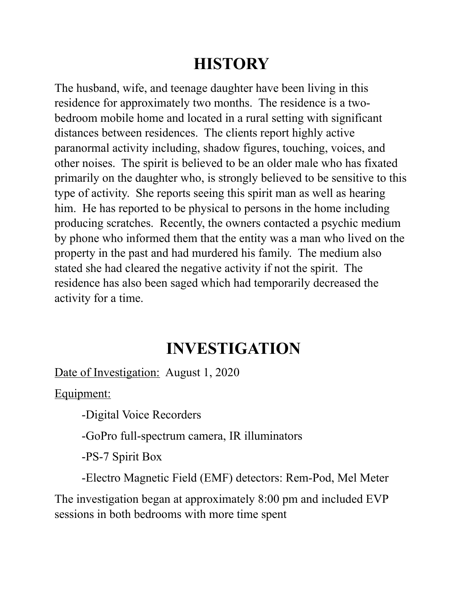# **HISTORY**

The husband, wife, and teenage daughter have been living in this residence for approximately two months. The residence is a twobedroom mobile home and located in a rural setting with significant distances between residences. The clients report highly active paranormal activity including, shadow figures, touching, voices, and other noises. The spirit is believed to be an older male who has fixated primarily on the daughter who, is strongly believed to be sensitive to this type of activity. She reports seeing this spirit man as well as hearing him. He has reported to be physical to persons in the home including producing scratches. Recently, the owners contacted a psychic medium by phone who informed them that the entity was a man who lived on the property in the past and had murdered his family. The medium also stated she had cleared the negative activity if not the spirit. The residence has also been saged which had temporarily decreased the activity for a time.

# **INVESTIGATION**

Date of Investigation: August 1, 2020

Equipment:

-Digital Voice Recorders

-GoPro full-spectrum camera, IR illuminators

-PS-7 Spirit Box

-Electro Magnetic Field (EMF) detectors: Rem-Pod, Mel Meter

The investigation began at approximately 8:00 pm and included EVP sessions in both bedrooms with more time spent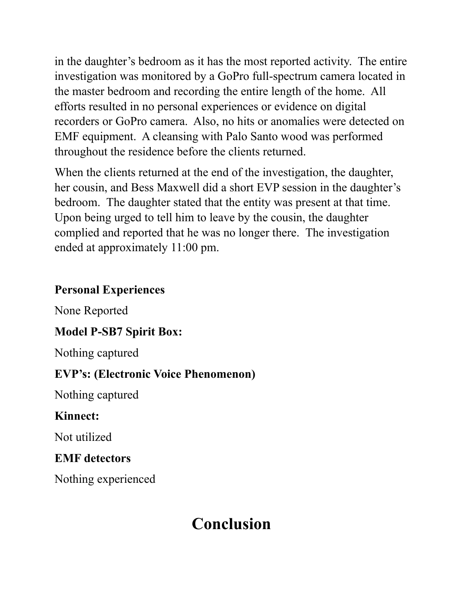in the daughter's bedroom as it has the most reported activity. The entire investigation was monitored by a GoPro full-spectrum camera located in the master bedroom and recording the entire length of the home. All efforts resulted in no personal experiences or evidence on digital recorders or GoPro camera. Also, no hits or anomalies were detected on EMF equipment. A cleansing with Palo Santo wood was performed throughout the residence before the clients returned.

When the clients returned at the end of the investigation, the daughter, her cousin, and Bess Maxwell did a short EVP session in the daughter's bedroom. The daughter stated that the entity was present at that time. Upon being urged to tell him to leave by the cousin, the daughter complied and reported that he was no longer there. The investigation ended at approximately 11:00 pm.

### **Personal Experiences**

None Reported

### **Model P-SB7 Spirit Box:**

Nothing captured

### **EVP's: (Electronic Voice Phenomenon)**

Nothing captured

### **Kinnect:**

Not utilized

### **EMF detectors**

Nothing experienced

# **Conclusion**